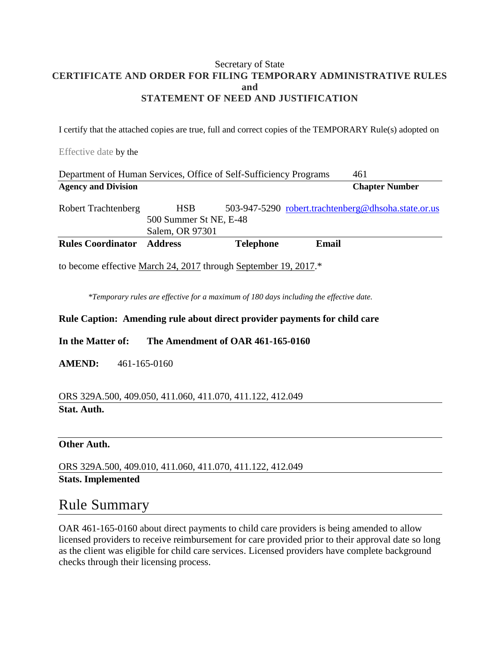### Secretary of State **CERTIFICATE AND ORDER FOR FILING TEMPORARY ADMINISTRATIVE RULES and STATEMENT OF NEED AND JUSTIFICATION**

I certify that the attached copies are true, full and correct copies of the TEMPORARY Rule(s) adopted on

Effective date by the

| Department of Human Services, Office of Self-Sufficiency Programs |                                                         |                  |       | 461                                                 |
|-------------------------------------------------------------------|---------------------------------------------------------|------------------|-------|-----------------------------------------------------|
| <b>Agency and Division</b>                                        |                                                         |                  |       | <b>Chapter Number</b>                               |
| <b>Robert Trachtenberg</b>                                        | <b>HSB</b><br>500 Summer St NE, E-48<br>Salem, OR 97301 |                  |       | 503-947-5290 robert.trachtenberg@dhsoha.state.or.us |
| <b>Rules Coordinator</b>                                          | <b>Address</b>                                          | <b>Telephone</b> | Email |                                                     |

to become effective March 24, 2017 through September 19, 2017.\*

*\*Temporary rules are effective for a maximum of 180 days including the effective date.*

### **Rule Caption: Amending rule about direct provider payments for child care**

**In the Matter of: The Amendment of OAR 461-165-0160**

**AMEND:** 461-165-0160

### ORS 329A.500, 409.050, 411.060, 411.070, 411.122, 412.049 **Stat. Auth.**

### **Other Auth.**

ORS 329A.500, 409.010, 411.060, 411.070, 411.122, 412.049 **Stats. Implemented**

### Rule Summary

OAR 461-165-0160 about direct payments to child care providers is being amended to allow licensed providers to receive reimbursement for care provided prior to their approval date so long as the client was eligible for child care services. Licensed providers have complete background checks through their licensing process.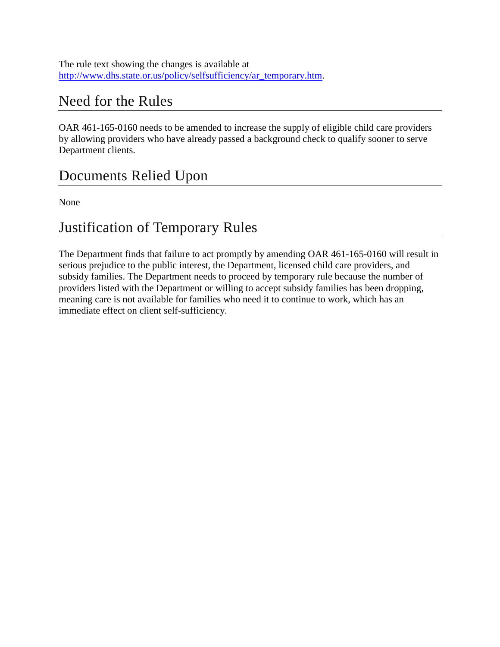The rule text showing the changes is available at [http://www.dhs.state.or.us/policy/selfsufficiency/ar\\_temporary.htm.](http://www.dhs.state.or.us/policy/selfsufficiency/ar_temporary.htm)

## Need for the Rules

OAR 461-165-0160 needs to be amended to increase the supply of eligible child care providers by allowing providers who have already passed a background check to qualify sooner to serve Department clients.

# Documents Relied Upon

None

## Justification of Temporary Rules

The Department finds that failure to act promptly by amending OAR 461-165-0160 will result in serious prejudice to the public interest, the Department, licensed child care providers, and subsidy families. The Department needs to proceed by temporary rule because the number of providers listed with the Department or willing to accept subsidy families has been dropping, meaning care is not available for families who need it to continue to work, which has an immediate effect on client self-sufficiency.